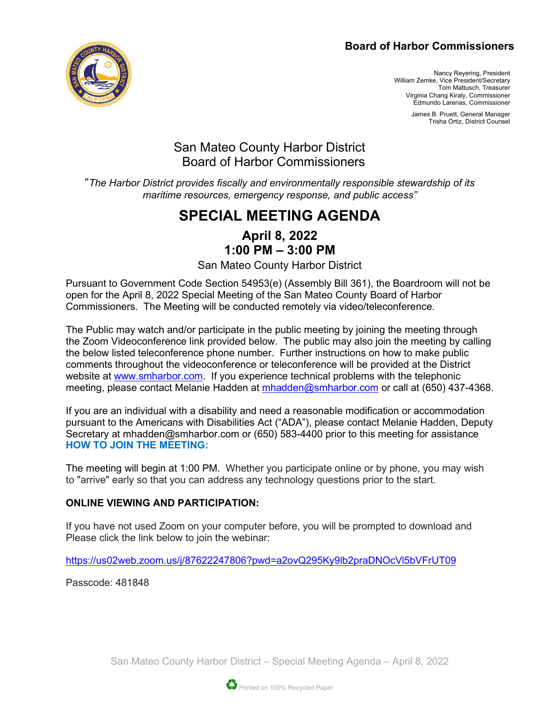#### **Board of Harbor Commissioners**



Nancy Reyering, President William Zemke, Vice President/Secretary Tom Mattusch, Treasurer Virginia Chang Kiraly, Commissioner Edmundo Larenas, Commissioner

> James B. Pruett, General Manager Trisha Ortiz, District Counsel

## San Mateo County Harbor District Board of Harbor Commissioners

"*The Harbor District provides fiscally and environmentally responsible stewardship of its maritime resources, emergency response, and public access"*

# **SPECIAL MEETING AGENDA**

**April 8, 2022 1:00 PM – 3:00 PM**

San Mateo County Harbor District

Pursuant to Government Code Section 54953(e) (Assembly Bill 361), the Boardroom will not be open for the April 8, 2022 Special Meeting of the San Mateo County Board of Harbor Commissioners. The Meeting will be conducted remotely via video/teleconference.

The Public may watch and/or participate in the public meeting by joining the meeting through the Zoom Videoconference link provided below. The public may also join the meeting by calling the below listed teleconference phone number. Further instructions on how to make public comments throughout the videoconference or teleconference will be provided at the District website at [www.smharbor.com.](http://www.smharbor.com/) If you experience technical problems with the telephonic meeting, please contact Melanie Hadden at [mhadden@smharbor.com](mailto:mhadden@smharbor.com) or call at (650) 437-4368.

If you are an individual with a disability and need a reasonable modification or accommodation pursuant to the Americans with Disabilities Act ("ADA"), please contact Melanie Hadden, Deputy Secretary at mhadden@smharbor.com or (650) 583-4400 prior to this meeting for assistance **HOW TO JOIN THE MEETING:**

The meeting will begin at 1:00 PM. Whether you participate online or by phone, you may wish to "arrive" early so that you can address any technology questions prior to the start.

#### **ONLINE VIEWING AND PARTICIPATION:**

If you have not used Zoom on your computer before, you will be prompted to download and Please click the link below to join the webinar:

<https://us02web.zoom.us/j/87622247806?pwd=a2ovQ295Ky9lb2praDNOcVl5bVFrUT09>

Passcode: 481848

San Mateo County Harbor District – Special Meeting Agenda – April 8, 2022

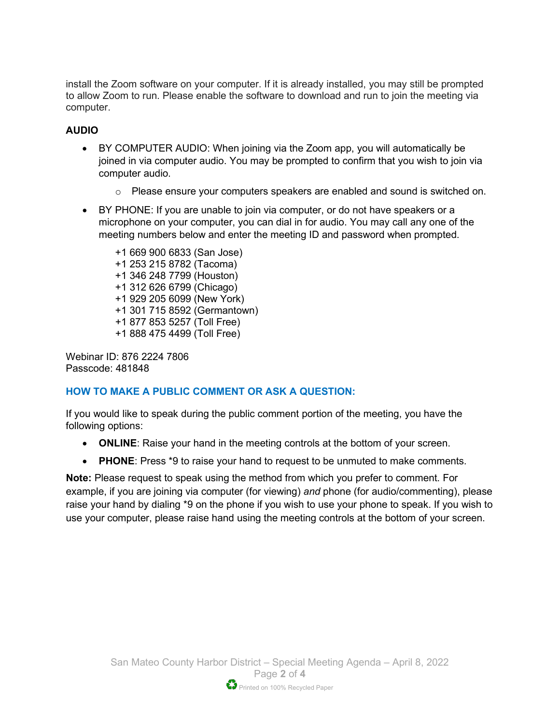install the Zoom software on your computer. If it is already installed, you may still be prompted to allow Zoom to run. Please enable the software to download and run to join the meeting via computer.

#### **AUDIO**

- BY COMPUTER AUDIO: When joining via the Zoom app, you will automatically be joined in via computer audio. You may be prompted to confirm that you wish to join via computer audio.
	- o Please ensure your computers speakers are enabled and sound is switched on.
- BY PHONE: If you are unable to join via computer, or do not have speakers or a microphone on your computer, you can dial in for audio. You may call any one of the meeting numbers below and enter the meeting ID and password when prompted.

+1 669 900 6833 (San Jose) +1 253 215 8782 (Tacoma) +1 346 248 7799 (Houston) +1 312 626 6799 (Chicago) +1 929 205 6099 (New York) +1 301 715 8592 (Germantown) +1 877 853 5257 (Toll Free) +1 888 475 4499 (Toll Free)

Webinar ID: 876 2224 7806 Passcode: 481848

#### **HOW TO MAKE A PUBLIC COMMENT OR ASK A QUESTION:**

If you would like to speak during the public comment portion of the meeting, you have the following options:

- **ONLINE**: Raise your hand in the meeting controls at the bottom of your screen.
- **PHONE**: Press \*9 to raise your hand to request to be unmuted to make comments.

**Note:** Please request to speak using the method from which you prefer to comment. For example, if you are joining via computer (for viewing) *and* phone (for audio/commenting), please raise your hand by dialing \*9 on the phone if you wish to use your phone to speak. If you wish to use your computer, please raise hand using the meeting controls at the bottom of your screen.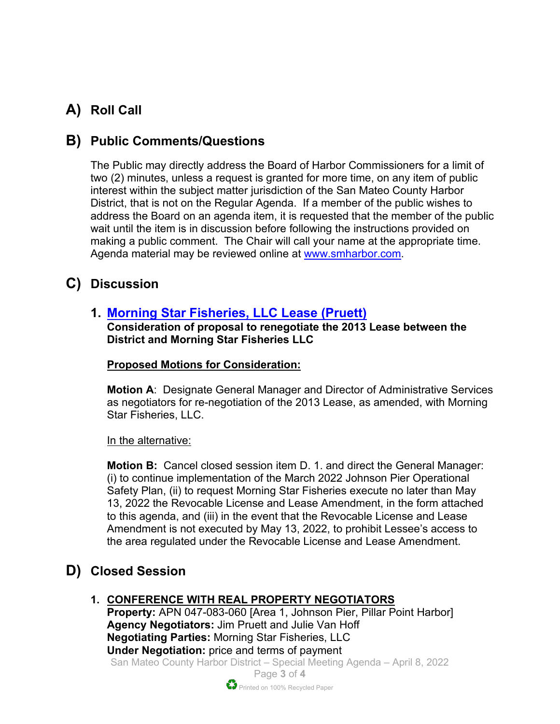# **A) Roll Call**

## **B) Public Comments/Questions**

The Public may directly address the Board of Harbor Commissioners for a limit of two (2) minutes, unless a request is granted for more time, on any item of public interest within the subject matter jurisdiction of the San Mateo County Harbor District, that is not on the Regular Agenda. If a member of the public wishes to address the Board on an agenda item, it is requested that the member of the public wait until the item is in discussion before following the instructions provided on making a public comment. The Chair will call your name at the appropriate time. Agenda material may be reviewed online at [www.smharbor.com.](http://www.smharbor.com/)

## **C) Discussion**

## **1. [Morning Star Fisheries, LLC](https://www.smharbor.com/files/4ff183733/2022_04_08_Item+1+Morning+Star.pdf) Lease (Pruett)**

**Consideration of proposal to renegotiate the 2013 Lease between the District and Morning Star Fisheries LLC**

#### **Proposed Motions for Consideration:**

**Motion A**: Designate General Manager and Director of Administrative Services as negotiators for re-negotiation of the 2013 Lease, as amended, with Morning Star Fisheries, LLC.

In the alternative:

**Motion B:** Cancel closed session item D. 1. and direct the General Manager: (i) to continue implementation of the March 2022 Johnson Pier Operational Safety Plan, (ii) to request Morning Star Fisheries execute no later than May 13, 2022 the Revocable License and Lease Amendment, in the form attached to this agenda, and (iii) in the event that the Revocable License and Lease Amendment is not executed by May 13, 2022, to prohibit Lessee's access to the area regulated under the Revocable License and Lease Amendment.

# **D) Closed Session**

## **1. CONFERENCE WITH REAL PROPERTY NEGOTIATORS**

San Mateo County Harbor District – Special Meeting Agenda – April 8, 2022 **Property:** APN 047-083-060 [Area 1, Johnson Pier, Pillar Point Harbor] **Agency Negotiators:** Jim Pruett and Julie Van Hoff **Negotiating Parties:** Morning Star Fisheries, LLC **Under Negotiation:** price and terms of payment

> Page **3** of **4** Printed on 100% Recycled Paper